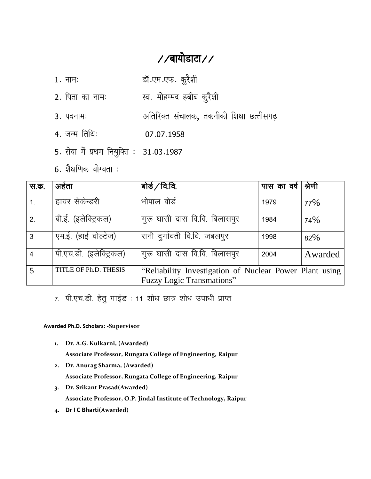# //बायोडाटा//

- 1. नामः स्वास्था प्राप्तः कुरैशी
- 2. पिता का नामः स्व. मोहम्मद हबीब कुरैशी
- 3. पदनामः अतिरिक्त संचालक, तकनीकी शिक्षा छत्तीसगढ़
- $4. \overline{37} + \overline{17} + \overline{18} + \overline{18} + \overline{19} + \overline{19} + \overline{19} + \overline{19} + \overline{19} + \overline{19} + \overline{19} + \overline{19} + \overline{19} + \overline{19} + \overline{19} + \overline{19} + \overline{19} + \overline{19} + \overline{19} + \overline{19} + \overline{19} + \overline{19} + \overline{19} + \overline{19} + \overline{19} + \overline{19} + \overline{19} + \over$
- 5. सेवा में प्रथम नियुक्ति : 31.03.1987
- $6.$  शैक्षणिक योग्यता $:$

| स.क.           | अहेता                   | बोर्ड $/$ वि.वि.                                        | पास का वर्ष | श्रेणी  |
|----------------|-------------------------|---------------------------------------------------------|-------------|---------|
| 1.             | हायर सेकेन्डरी          | भोपाल बोर्ड                                             | 1979        | 77%     |
| 2.             | बी.ई. (इलेक्ट्रिकल)     | गुरू घासी दास वि.वि. बिलासपुर                           | 1984        | 74%     |
| 3              | एम.ई. (हाई वोल्टेज)     | रानी दुर्गावती वि.वि. जबलपुर                            | 1998        | 82%     |
| $\overline{4}$ | पी.एच.डी. (इलेक्ट्रिकल) | गुरू घासी दास वि.वि. बिलासपुर                           | 2004        | Awarded |
|                | TITLE OF Ph.D. THESIS   | "Reliability Investigation of Nuclear Power Plant using |             |         |
|                |                         | <b>Fuzzy Logic Transmations"</b>                        |             |         |

7. पी.एच.डी. हेतु गाईड : 11 शोध छात्र शोध उपाधी प्राप्त

#### **Awarded Ph.D. Scholars: -Supervisor**

**1. Dr. A.G. Kulkarni, (Awarded)**

**Associate Professor, Rungata College of Engineering, Raipur**

- **2. Dr. Anurag Sharma, (Awarded) Associate Professor, Rungata College of Engineering, Raipur**
- **3. Dr. Srikant Prasad(Awarded) Associate Professor, O.P. Jindal Institute of Technology, Raipur**
- **4. Dr I C Bharti(Awarded)**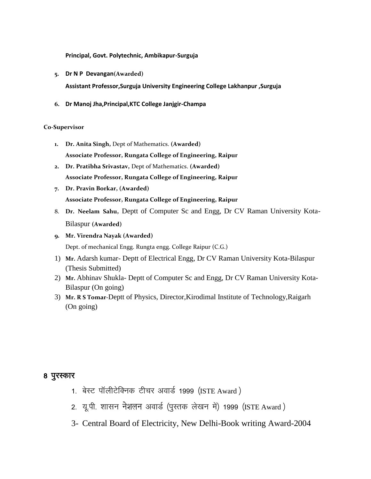**Principal, Govt. Polytechnic, Ambikapur-Surguja**

- **5. Dr N P Devangan(Awarded) Assistant Professor,Surguja University Engineering College Lakhanpur ,Surguja**
- **6. Dr Manoj Jha,Principal,KTC College Janjgir-Champa**

#### **Co-Supervisor**

- **1. Dr. Anita Singh,** Dept of Mathematics. **(Awarded) Associate Professor, Rungata College of Engineering, Raipur**
- **2. Dr. Pratibha Srivastav,** Dept of Mathematics. **(Awarded) Associate Professor, Rungata College of Engineering, Raipur**
- **7. Dr. Pravin Borkar, (Awarded) Associate Professor, Rungata College of Engineering, Raipur**
- 8. **Dr. Neelam Sahu,** Deptt of Computer Sc and Engg, Dr CV Raman University Kota-Bilaspur **(Awarded)**
- **9. Mr. Virendra Nayak (Awarded)** Dept. of mechanical Engg. Rungta engg. College Raipur (C.G.)
- 1) **Mr.** Adarsh kumar- Deptt of Electrical Engg, Dr CV Raman University Kota-Bilaspur (Thesis Submitted)
- 2) **Mr.** Abhinav Shukla- Deptt of Computer Sc and Engg, Dr CV Raman University Kota-Bilaspur (On going)
- 3) **Mr. R S Tomar-**Deptt of Physics, Director,Kirodimal Institute of Technology,Raigarh (On going)

### 8 पुरस्कार

- 1. बेस्ट पॉलीटेक्निक टीचर अवार्ड 1999 (ISTE Award )
- 2. यू.पी. शासन नेशलन अवार्ड (पुस्तक लेखन में) 1999 (ISTE Award )
- 3- Central Board of Electricity, New Delhi-Book writing Award-2004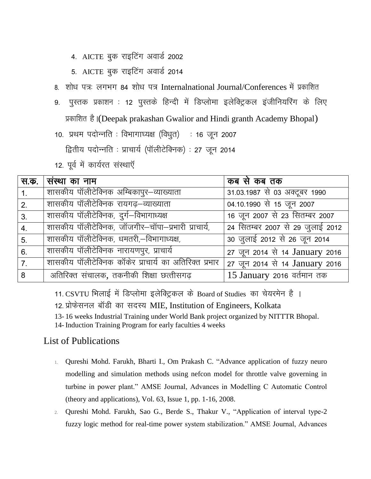- 4. AICTE बुक राइटिंग अवार्ड 2002
- 5. AICTE बुक राइटिंग अवार्ड 2014
- 8. शोध पत्रः लगभग 84 शोध पत्र Internalnational Journal/Conferences में प्रकाशित
- 9. पुस्तक प्रकाशन : 12 पुस्तके हिन्दी में डिप्लोमा इलेक्ट्रिकल इंजीनियरिंग के लिए प्रकाशित है।(Deepak prakashan Gwalior and Hindi granth Academy Bhopal)
- 10. प्रथम पदोन्नति : विभागाध्यक्ष (विधृत) : 16 जून 2007

द्वितीय पदोन्नति : प्राचार्य (पॉलीटेक्निक) : 27 जुन 2014

12. पूर्व में कार्यरत संस्थाएँ

| स.क.             | । संस्था का नाम                                       | कब से कब तक                      |
|------------------|-------------------------------------------------------|----------------------------------|
| $\mathbf{1}$ .   | शासकीय पॉलीटेक्निक अम्बिकापुर–व्याख्याता              | 31.03.1987 से 03 अक्टूबर 1990    |
| 2.               | शासकीय पॉलीटेक्निक रायगढ़–व्याख्याता                  | 04.10.1990 से 15 जून 2007        |
| 3.               | शासकीय पॉलीटेक्निक, दुर्ग-विभागाध्यक्ष                | 16 जून 2007 से 23 सितम्बर 2007   |
| $\overline{4}$ . | शासकीय पॉलीटेक्निक, जॉजगीर–चॉपा–प्रभारी प्राचार्य,    | 24 सितम्बर 2007 से 29 जुलाई 2012 |
| 5 <sub>1</sub>   | शासकीय पॉलीटेक्निक, धमतरी,–विभागाध्यक्ष,              | 30 जुलाई 2012 से 26 जून 2014     |
| 6.               | शासकीय पॉलीटेक्निक नारायणपुर, प्राचार्य               | 27 जून 2014 से 14 January 2016   |
| 7.               | शासकीय पॉलीटेक्निक कॉकेर प्राचार्य का अतिरिक्त प्रभार | 27 जून 2014 से 14 January 2016   |
| 8                | अतिरिक्त संचालक, तकनीकी शिक्षा छत्तीसगढ़              | 15 January 2016 वर्तमान तक       |

11. CSVTU मिलाई में डिप्लोमा इलेक्ट्रिकल के Board of Studies का चेयरमेन है ।

12. प्रोफेसनल बॉडी का सदस्य MIE, Institution of Engineers, Kolkata

13- 16 weeks Industrial Training under World Bank project organized by NITTTR Bhopal. 14- Induction Training Program for early faculties 4 weeks

## List of Publications

- 1. [Qureshi Mohd. Farukh,](http://www.amse-modeling.com/ind2.php?cont=03per&menu=/menu3.php&pag=/datosautor.php&vis=1&mail2=mfq_pro@rediffmail.com&id_usu2=3926) [Bharti I.,](http://www.amse-modeling.com/ind2.php?cont=03per&menu=/menu3.php&pag=/datosautor.php&vis=1&mail2=amse3939@amse-modeling.org&id_usu2=4034) [Om Prakash C.](http://www.amse-modeling.com/ind2.php?cont=03per&menu=/menu3.php&pag=/datosautor.php&vis=1&mail2=amse3940@amse-modeling.org&id_usu2=4035) "Advance application of fuzzy neuro modelling and simulation methods using nefcon model for throttle valve governing in turbine in power plant." AMSE Journal, Advances in Modelling C Automatic Control (theory and applications), Vol. 63, Issue 1, pp. 1-16, 2008.
- 2. [Qureshi Mohd. Farukh,](http://www.amse-modeling.com/ind2.php?cont=03per&menu=/menu3.php&pag=/datosautor.php&vis=1&mail2=mfq_pro@rediffmail.com&id_usu2=3926) Sao G., Berde S., Thakur V., "Application of interval type-2 fuzzy logic method for real-time power system stabilization." AMSE Journal, Advances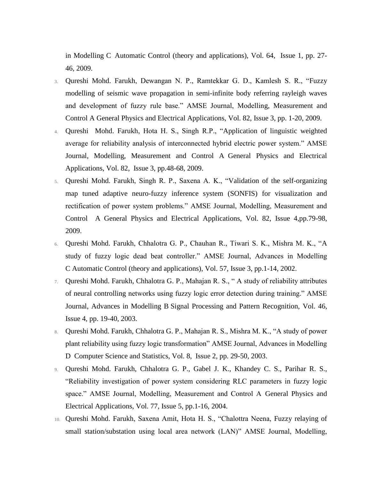in Modelling C Automatic Control (theory and applications), Vol. 64, Issue 1, pp. 27- 46, 2009.

- 3. [Qureshi Mohd. Farukh,](http://www.amse-modeling.com/ind2.php?cont=03per&menu=/menu3.php&pag=/datosautor.php&vis=1&mail2=mfq_pro@rediffmail.com&id_usu2=3926) Dewangan N. P., Ramtekkar G. D., Kamlesh S. R., "Fuzzy modelling of seismic wave propagation in semi-infinite body referring rayleigh waves and development of fuzzy rule base." AMSE Journal, Modelling, Measurement and Control A General Physics and Electrical Applications, Vol. 82, Issue 3, pp. 1-20, 2009.
- 4. [Qureshi Mohd. Farukh,](http://www.amse-modeling.com/ind2.php?cont=03per&menu=/menu3.php&pag=/datosautor.php&vis=1&mail2=mfq_pro@rediffmail.com&id_usu2=3926) Hota H. S., Singh R.P., "Application of linguistic weighted average for reliability analysis of interconnected hybrid electric power system." AMSE Journal, Modelling, Measurement and Control A General Physics and Electrical Applications, Vol. 82, Issue 3, pp.48-68, 2009.
- 5. [Qureshi Mohd. Farukh,](http://www.amse-modeling.com/ind2.php?cont=03per&menu=/menu3.php&pag=/datosautor.php&vis=1&mail2=mfq_pro@rediffmail.com&id_usu2=3926) Singh R. P., Saxena A. K., "Validation of the self-organizing map tuned adaptive neuro-fuzzy inference system (SONFIS) for visualization and rectification of power system problems." AMSE Journal, Modelling, Measurement and Control A General Physics and Electrical Applications, Vol. 82, Issue 4,pp.79-98, 2009.
- 6. [Qureshi Mohd. Farukh,](http://www.amse-modeling.com/ind2.php?cont=03per&menu=/menu3.php&pag=/datosautor.php&vis=1&mail2=mfq_pro@rediffmail.com&id_usu2=3926) Chhalotra G. P., Chauhan R., Tiwari S. K., Mishra M. K., "A study of fuzzy logic dead beat controller." AMSE Journal, Advances in Modelling C Automatic Control (theory and applications), Vol. 57, Issue 3, pp.1-14, 2002.
- 7. [Qureshi Mohd. Farukh,](http://www.amse-modeling.com/ind2.php?cont=03per&menu=/menu3.php&pag=/datosautor.php&vis=1&mail2=mfq_pro@rediffmail.com&id_usu2=3926) Chhalotra G. P., Mahajan R. S., " A study of reliability attributes of neural controlling networks using fuzzy logic error detection during training." AMSE Journal, Advances in Modelling B Signal Processing and Pattern Recognition, Vol. 46, Issue 4, pp. 19-40, 2003.
- 8. [Qureshi Mohd. Farukh,](http://www.amse-modeling.com/ind2.php?cont=03per&menu=/menu3.php&pag=/datosautor.php&vis=1&mail2=mfq_pro@rediffmail.com&id_usu2=3926) Chhalotra G. P., Mahajan R. S., Mishra M. K., "A study of power plant reliability using fuzzy logic transformation" AMSE Journal, Advances in Modelling D Computer Science and Statistics, Vol. 8, Issue 2, pp. 29-50, 2003.
- 9. [Qureshi Mohd. Farukh,](http://www.amse-modeling.com/ind2.php?cont=03per&menu=/menu3.php&pag=/datosautor.php&vis=1&mail2=mfq_pro@rediffmail.com&id_usu2=3926) Chhalotra G. P., Gabel J. K., Khandey C. S., Parihar R. S., "Reliability investigation of power system considering RLC parameters in fuzzy logic space." AMSE Journal, Modelling, Measurement and Control A General Physics and Electrical Applications, Vol. 77, Issue 5, pp.1-16, 2004.
- 10. [Qureshi Mohd. Farukh,](http://www.amse-modeling.com/ind2.php?cont=03per&menu=/menu3.php&pag=/datosautor.php&vis=1&mail2=mfq_pro@rediffmail.com&id_usu2=3926) Saxena Amit, Hota H. S., "Chalottra Neena, Fuzzy relaying of small station/substation using local area network (LAN)" AMSE Journal, Modelling,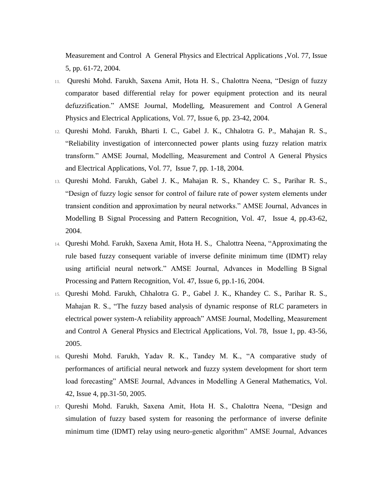Measurement and Control A General Physics and Electrical Applications ,Vol. 77, Issue 5, pp. 61-72, 2004.

- 11. [Qureshi Mohd. Farukh,](http://www.amse-modeling.com/ind2.php?cont=03per&menu=/menu3.php&pag=/datosautor.php&vis=1&mail2=mfq_pro@rediffmail.com&id_usu2=3926) Saxena Amit, Hota H. S., Chalottra Neena, "Design of fuzzy comparator based differential relay for power equipment protection and its neural defuzzification." AMSE Journal, Modelling, Measurement and Control A General Physics and Electrical Applications, Vol. 77, Issue 6, pp. 23-42, 2004.
- 12. [Qureshi Mohd. Farukh,](http://www.amse-modeling.com/ind2.php?cont=03per&menu=/menu3.php&pag=/datosautor.php&vis=1&mail2=mfq_pro@rediffmail.com&id_usu2=3926) Bharti I. C., Gabel J. K., Chhalotra G. P., Mahajan R. S., "Reliability investigation of interconnected power plants using fuzzy relation matrix transform." AMSE Journal, Modelling, Measurement and Control A General Physics and Electrical Applications, Vol. 77, Issue 7, pp. 1-18, 2004.
- 13. [Qureshi Mohd. Farukh,](http://www.amse-modeling.com/ind2.php?cont=03per&menu=/menu3.php&pag=/datosautor.php&vis=1&mail2=mfq_pro@rediffmail.com&id_usu2=3926) Gabel J. K., Mahajan R. S., Khandey C. S., Parihar R. S., "Design of fuzzy logic sensor for control of failure rate of power system elements under transient condition and approximation by neural networks." AMSE Journal, Advances in Modelling B Signal Processing and Pattern Recognition, Vol. 47, Issue 4, pp.43-62, 2004.
- 14. [Qureshi Mohd. Farukh,](http://www.amse-modeling.com/ind2.php?cont=03per&menu=/menu3.php&pag=/datosautor.php&vis=1&mail2=mfq_pro@rediffmail.com&id_usu2=3926) Saxena Amit, Hota H. S., Chalottra Neena, "Approximating the rule based fuzzy consequent variable of inverse definite minimum time (IDMT) relay using artificial neural network." AMSE Journal, Advances in Modelling B Signal Processing and Pattern Recognition, Vol. 47, Issue 6, pp.1-16, 2004.
- 15. [Qureshi Mohd. Farukh,](http://www.amse-modeling.com/ind2.php?cont=03per&menu=/menu3.php&pag=/datosautor.php&vis=1&mail2=mfq_pro@rediffmail.com&id_usu2=3926) Chhalotra G. P., Gabel J. K., Khandey C. S., Parihar R. S., Mahajan R. S., "The fuzzy based analysis of dynamic response of RLC parameters in electrical power system-A reliability approach" AMSE Journal, Modelling, Measurement and Control A General Physics and Electrical Applications, Vol. 78, Issue 1, pp. 43-56, 2005.
- 16. [Qureshi Mohd. Farukh,](http://www.amse-modeling.com/ind2.php?cont=03per&menu=/menu3.php&pag=/datosautor.php&vis=1&mail2=mfq_pro@rediffmail.com&id_usu2=3926) Yadav R. K., Tandey M. K., "A comparative study of performances of artificial neural network and fuzzy system development for short term load forecasting" AMSE Journal, Advances in Modelling A General Mathematics, Vol. 42, Issue 4, pp.31-50, 2005.
- 17. [Qureshi Mohd. Farukh,](http://www.amse-modeling.com/ind2.php?cont=03per&menu=/menu3.php&pag=/datosautor.php&vis=1&mail2=mfq_pro@rediffmail.com&id_usu2=3926) Saxena Amit, Hota H. S., Chalottra Neena, "Design and simulation of fuzzy based system for reasoning the performance of inverse definite minimum time (IDMT) relay using neuro-genetic algorithm" AMSE Journal, Advances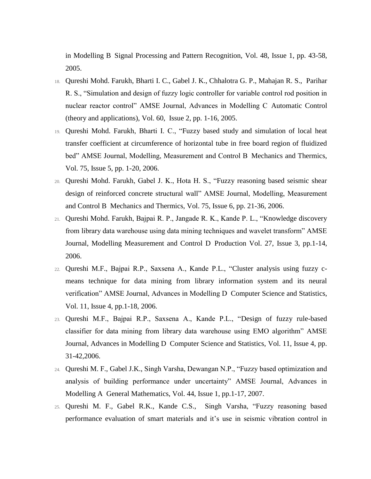in Modelling B Signal Processing and Pattern Recognition, Vol. 48, Issue 1, pp. 43-58, 2005.

- 18. [Qureshi Mohd. Farukh,](http://www.amse-modeling.com/ind2.php?cont=03per&menu=/menu3.php&pag=/datosautor.php&vis=1&mail2=mfq_pro@rediffmail.com&id_usu2=3926) Bharti I. C., Gabel J. K., Chhalotra G. P., Mahajan R. S., Parihar R. S., "Simulation and design of fuzzy logic controller for variable control rod position in nuclear reactor control" AMSE Journal, Advances in Modelling C Automatic Control (theory and applications), Vol. 60, Issue 2, pp. 1-16, 2005.
- 19. [Qureshi Mohd. Farukh,](http://www.amse-modeling.com/ind2.php?cont=03per&menu=/menu3.php&pag=/datosautor.php&vis=1&mail2=mfq_pro@rediffmail.com&id_usu2=3926) Bharti I. C., "Fuzzy based study and simulation of local heat transfer coefficient at circumference of horizontal tube in free board region of fluidized bed" AMSE Journal, Modelling, Measurement and Control B Mechanics and Thermics, Vol. 75, Issue 5, pp. 1-20, 2006.
- 20. [Qureshi Mohd. Farukh,](http://www.amse-modeling.com/ind2.php?cont=03per&menu=/menu3.php&pag=/datosautor.php&vis=1&mail2=mfq_pro@rediffmail.com&id_usu2=3926) Gabel J. K., Hota H. S., "Fuzzy reasoning based seismic shear design of reinforced concrete structural wall" AMSE Journal, Modelling, Measurement and Control B Mechanics and Thermics, Vol. 75, Issue 6, pp. 21-36, 2006.
- 21. [Qureshi Mohd. Farukh,](http://www.amse-modeling.com/ind2.php?cont=03per&menu=/menu3.php&pag=/datosautor.php&vis=1&mail2=mfq_pro@rediffmail.com&id_usu2=3926) Bajpai R. P., Jangade R. K., Kande P. L., "Knowledge discovery from library data warehouse using data mining techniques and wavelet transform" AMSE Journal, Modelling Measurement and Control D Production Vol. 27, Issue 3, pp.1-14, 2006.
- 22. [Qureshi M.F.](http://www.amse-modeling.com/ind2.php?cont=03per&menu=/menu3.php&pag=/datosautor.php&vis=1&mail2=mfq_pro@rediffmail.com&id_usu2=3926), Bajpai R.P., Saxsena A., Kande P.L., "Cluster analysis using fuzzy cmeans technique for data mining from library information system and its neural verification" AMSE Journal, Advances in Modelling D Computer Science and Statistics, Vol. 11, Issue 4, pp.1-18, 2006.
- 23. [Qureshi M.F.](http://www.amse-modeling.com/ind2.php?cont=03per&menu=/menu3.php&pag=/datosautor.php&vis=1&mail2=mfq_pro@rediffmail.com&id_usu2=3926), Bajpai R.P., Saxsena A., Kande P.L., "Design of fuzzy rule-based classifier for data mining from library data warehouse using EMO algorithm" AMSE Journal, Advances in Modelling D Computer Science and Statistics, Vol. 11, Issue 4, pp. 31-42,2006.
- 24. [Qureshi M. F.,](http://www.amse-modeling.com/ind2.php?cont=03per&menu=/menu3.php&pag=/datosautor.php&vis=1&mail2=mfq_pro@rediffmail.com&id_usu2=3926) Gabel J.K., Singh Varsha, Dewangan N.P., "Fuzzy based optimization and analysis of building performance under uncertainty" AMSE Journal, Advances in Modelling A General Mathematics, Vol. 44, Issue 1, pp.1-17, 2007.
- 25. [Qureshi M. F.,](http://www.amse-modeling.com/ind2.php?cont=03per&menu=/menu3.php&pag=/datosautor.php&vis=1&mail2=mfq_pro@rediffmail.com&id_usu2=3926) Gabel R.K., Kande C.S., Singh Varsha, "Fuzzy reasoning based performance evaluation of smart materials and it's use in seismic vibration control in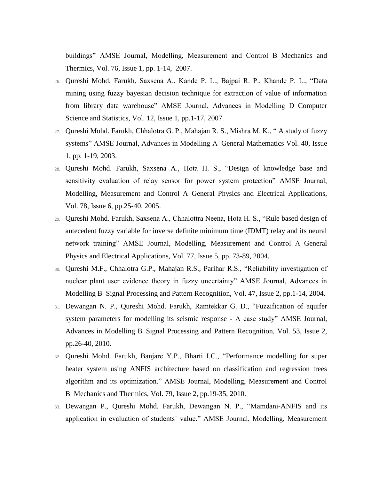buildings" AMSE Journal, Modelling, Measurement and Control B Mechanics and Thermics, Vol. 76, Issue 1, pp. 1-14, 2007.

- 26. [Qureshi Mohd. Farukh,](http://www.amse-modeling.com/ind2.php?cont=03per&menu=/menu3.php&pag=/datosautor.php&vis=1&mail2=mfq_pro@rediffmail.com&id_usu2=3926) Saxsena A., Kande P. L., Bajpai R. P., Khande P. L., "Data mining using fuzzy bayesian decision technique for extraction of value of information from library data warehouse" AMSE Journal, Advances in Modelling D Computer Science and Statistics, Vol. 12, Issue 1, pp.1-17, 2007.
- 27. [Qureshi Mohd. Farukh,](http://www.amse-modeling.com/ind2.php?cont=03per&menu=/menu3.php&pag=/datosautor.php&vis=1&mail2=mfq_pro@rediffmail.com&id_usu2=3926) Chhalotra G. P., Mahajan R. S., Mishra M. K., " A study of fuzzy systems" AMSE Journal, Advances in Modelling A General Mathematics Vol. 40, Issue 1, pp. 1-19, 2003.
- 28. [Qureshi Mohd. Farukh,](http://www.amse-modeling.com/ind2.php?cont=03per&menu=/menu3.php&pag=/datosautor.php&vis=1&mail2=mfq_pro@rediffmail.com&id_usu2=3926) Saxsena A., Hota H. S., "Design of knowledge base and sensitivity evaluation of relay sensor for power system protection" AMSE Journal, Modelling, Measurement and Control A General Physics and Electrical Applications, Vol. 78, Issue 6, pp.25-40, 2005.
- 29. [Qureshi Mohd. Farukh,](http://www.amse-modeling.com/ind2.php?cont=03per&menu=/menu3.php&pag=/datosautor.php&vis=1&mail2=mfq_pro@rediffmail.com&id_usu2=3926) Saxsena A., Chhalottra Neena, Hota H. S., "Rule based design of antecedent fuzzy variable for inverse definite minimum time (IDMT) relay and its neural network training" AMSE Journal, Modelling, Measurement and Control A General Physics and Electrical Applications, Vol. 77, Issue 5, pp. 73-89, 2004.
- 30. [Qureshi M.F.](http://www.amse-modeling.com/ind2.php?cont=03per&menu=/menu3.php&pag=/datosautor.php&vis=1&mail2=mfq_pro@rediffmail.com&id_usu2=3926), Chhalotra G.P., Mahajan R.S., Parihar R.S., "Reliability investigation of nuclear plant user evidence theory in fuzzy uncertainty" AMSE Journal, Advances in Modelling B Signal Processing and Pattern Recognition, Vol. 47, Issue 2, pp.1-14, 2004.
- 31. Dewangan N. P., [Qureshi Mohd. Farukh,](http://www.amse-modeling.com/ind2.php?cont=03per&menu=/menu3.php&pag=/datosautor.php&vis=1&mail2=mfq_pro@rediffmail.com&id_usu2=3926) Ramtekkar G. D., "Fuzzification of aquifer system parameters for modelling its seismic response - A case study" AMSE Journal, Advances in Modelling B Signal Processing and Pattern Recognition, Vol. 53, Issue 2, pp.26-40, 2010.
- 32. [Qureshi Mohd. Farukh,](http://www.amse-modeling.com/ind2.php?cont=03per&menu=/menu3.php&pag=/datosautor.php&vis=1&mail2=mfq_pro@rediffmail.com&id_usu2=3926) Banjare Y.P., Bharti I.C., "Performance modelling for super heater system using ANFIS architecture based on classification and regression trees algorithm and its optimization." AMSE Journal, Modelling, Measurement and Control B Mechanics and Thermics, Vol. 79, Issue 2, pp.19-35, 2010.
- 33. Dewangan P., [Qureshi Mohd. Farukh,](http://www.amse-modeling.com/ind2.php?cont=03per&menu=/menu3.php&pag=/datosautor.php&vis=1&mail2=mfq_pro@rediffmail.com&id_usu2=3926) Dewangan N. P., "Mamdani-ANFIS and its application in evaluation of students´ value." AMSE Journal, Modelling, Measurement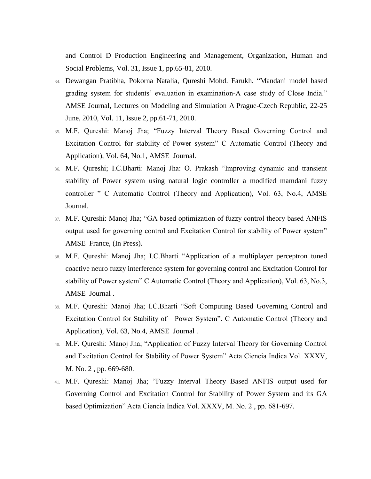and Control D Production Engineering and Management, Organization, Human and Social Problems, Vol. 31, Issue 1, pp.65-81, 2010.

- 34. Dewangan Pratibha, Pokorna Natalia, [Qureshi Mohd. Farukh,](http://www.amse-modeling.com/ind2.php?cont=03per&menu=/menu3.php&pag=/datosautor.php&vis=1&mail2=mfq_pro@rediffmail.com&id_usu2=3926) "Mandani model based grading system for students' evaluation in examination-A case study of Close India." AMSE Journal, Lectures on Modeling and Simulation A Prague-Czech Republic, 22-25 June, 2010, Vol. 11, Issue 2, pp.61-71, 2010.
- 35. M.F. Qureshi: Manoj Jha; "Fuzzy Interval Theory Based Governing Control and Excitation Control for stability of Power system" C Automatic Control (Theory and Application), Vol. 64, No.1, AMSE Journal.
- 36. M.F. Qureshi; I.C.Bharti: Manoj Jha: O. Prakash "Improving dynamic and transient stability of Power system using natural logic controller a modified mamdani fuzzy controller " C Automatic Control (Theory and Application), Vol. 63, No.4, AMSE Journal.
- 37. M.F. Qureshi: Manoj Jha; "GA based optimization of fuzzy control theory based ANFIS output used for governing control and Excitation Control for stability of Power system" AMSE France, (In Press).
- 38. M.F. Qureshi: Manoj Jha; I.C.Bharti "Application of a multiplayer perceptron tuned coactive neuro fuzzy interference system for governing control and Excitation Control for stability of Power system" C Automatic Control (Theory and Application), Vol. 63, No.3, AMSE Journal .
- 39. M.F. Qureshi: Manoj Jha; I.C.Bharti "Soft Computing Based Governing Control and Excitation Control for Stability of Power System". C Automatic Control (Theory and Application), Vol. 63, No.4, AMSE Journal .
- 40. M.F. Qureshi: Manoj Jha; "Application of Fuzzy Interval Theory for Governing Control and Excitation Control for Stability of Power System" Acta Ciencia Indica Vol. XXXV, M. No. 2 , pp. 669-680.
- 41. M.F. Qureshi: Manoj Jha; "Fuzzy Interval Theory Based ANFIS output used for Governing Control and Excitation Control for Stability of Power System and its GA based Optimization" Acta Ciencia Indica Vol. XXXV, M. No. 2 , pp. 681-697.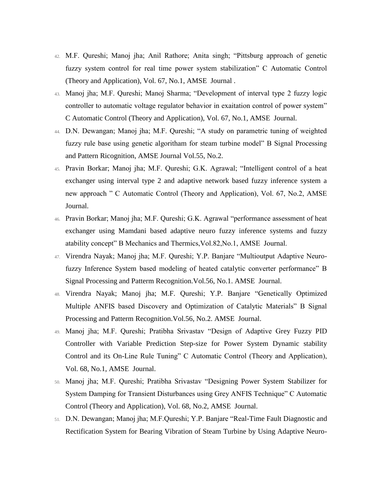- 42. M.F. Qureshi; Manoj jha; Anil Rathore; Anita singh; "Pittsburg approach of genetic fuzzy system control for real time power system stabilization" C Automatic Control (Theory and Application), Vol. 67, No.1, AMSE Journal .
- 43. Manoj jha; M.F. Qureshi; Manoj Sharma; "Development of interval type 2 fuzzy logic controller to automatic voltage regulator behavior in exaitation control of power system" C Automatic Control (Theory and Application), Vol. 67, No.1, AMSE Journal.
- 44. D.N. Dewangan; Manoj jha; M.F. Qureshi; "A study on parametric tuning of weighted fuzzy rule base using genetic algoritham for steam turbine model" B Signal Processing and Pattern Ricognition, AMSE Journal Vol.55, No.2.
- 45. Pravin Borkar; Manoj jha; M.F. Qureshi; G.K. Agrawal; "Intelligent control of a heat exchanger using interval type 2 and adaptive network based fuzzy inference system a new approach " C Automatic Control (Theory and Application), Vol. 67, No.2, AMSE Journal.
- 46. Pravin Borkar; Manoj jha; M.F. Qureshi; G.K. Agrawal "performance assessment of heat exchanger using Mamdani based adaptive neuro fuzzy inference systems and fuzzy atability concept" B Mechanics and Thermics,Vol.82,No.1, AMSE Journal.
- 47. Virendra Nayak; Manoj jha; M.F. Qureshi; Y.P. Banjare "Multioutput Adaptive Neurofuzzy Inference System based modeling of heated catalytic converter performance" B Signal Processing and Patterm Recognition.Vol.56, No.1. AMSE Journal.
- 48. Virendra Nayak; Manoj jha; M.F. Qureshi; Y.P. Banjare "Genetically Optimized Multiple ANFIS based Discovery and Optimization of Catalytic Materials" B Signal Processing and Patterm Recognition.Vol.56, No.2. AMSE Journal.
- 49. Manoj jha; M.F. Qureshi; Pratibha Srivastav "Design of Adaptive Grey Fuzzy PID Controller with Variable Prediction Step-size for Power System Dynamic stability Control and its On-Line Rule Tuning" C Automatic Control (Theory and Application), Vol. 68, No.1, AMSE Journal.
- 50. Manoj jha; M.F. Qureshi; Pratibha Srivastav "Designing Power System Stabilizer for System Damping for Transient Disturbances using Grey ANFIS Technique" C Automatic Control (Theory and Application), Vol. 68, No.2, AMSE Journal.
- 51. D.N. Dewangan; Manoj jha; M.F.Qureshi; Y.P. Banjare "Real-Time Fault Diagnostic and Rectification System for Bearing Vibration of Steam Turbine by Using Adaptive Neuro-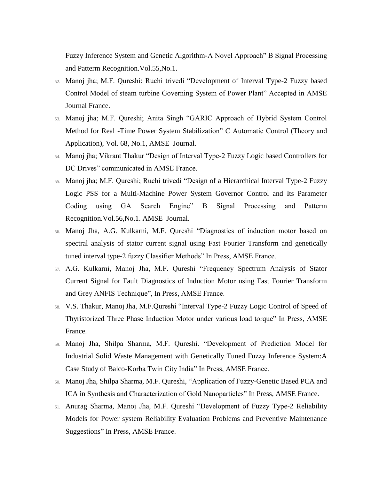Fuzzy Inference System and Genetic Algorithm-A Novel Approach" B Signal Processing and Patterm Recognition.Vol.55,No.1.

- 52. Manoj jha; M.F. Qureshi; Ruchi trivedi "Development of Interval Type-2 Fuzzy based Control Model of steam turbine Governing System of Power Plant" Accepted in AMSE Journal France.
- 53. Manoj jha; M.F. Qureshi; Anita Singh "GARIC Approach of Hybrid System Control Method for Real -Time Power System Stabilization" C Automatic Control (Theory and Application), Vol. 68, No.1, AMSE Journal.
- 54. Manoj jha; Vikrant Thakur "Design of Interval Type-2 Fuzzy Logic based Controllers for DC Drives" communicated in AMSE France.
- 55. Manoj jha; M.F. Qureshi; Ruchi trivedi "Design of a Hierarchical Interval Type-2 Fuzzy Logic PSS for a Multi-Machine Power System Governor Control and Its Parameter Coding using GA Search Engine" B Signal Processing and Patterm Recognition.Vol.56,No.1. AMSE Journal.
- 56. Manoj Jha, A.G. Kulkarni, M.F. Qureshi "Diagnostics of induction motor based on spectral analysis of stator current signal using Fast Fourier Transform and genetically tuned interval type-2 fuzzy Classifier Methods" In Press, AMSE France.
- 57. A.G. Kulkarni, Manoj Jha, M.F. Qureshi "Frequency Spectrum Analysis of Stator Current Signal for Fault Diagnostics of Induction Motor using Fast Fourier Transform and Grey ANFIS Technique", In Press, AMSE France.
- 58. V.S. Thakur, ManojJha, M.F.Qureshi "Interval Type-2 Fuzzy Logic Control of Speed of Thyristorized Three Phase Induction Motor under various load torque" In Press, AMSE France.
- 59. Manoj Jha, Shilpa Sharma, M.F. Qureshi. "Development of Prediction Model for Industrial Solid Waste Management with Genetically Tuned Fuzzy Inference System:A Case Study of Balco-Korba Twin City India" In Press, AMSE France.
- 60. Manoj Jha, Shilpa Sharma, M.F. Qureshi, "Application of Fuzzy-Genetic Based PCA and ICA in Synthesis and Characterization of Gold Nanoparticles" In Press, AMSE France.
- 61. Anurag Sharma, Manoj Jha, M.F. Qureshi "Development of Fuzzy Type-2 Reliability Models for Power system Reliability Evaluation Problems and Preventive Maintenance Suggestions" In Press, AMSE France.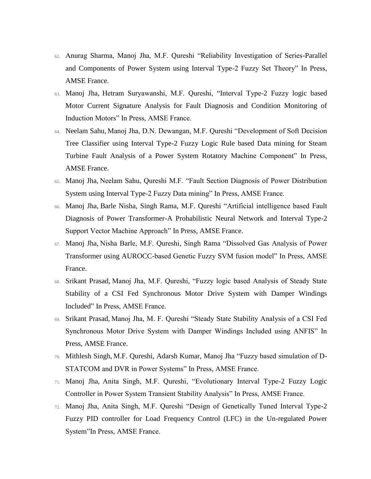- 62. Anurag Sharma, Manoj Jha, M.F. Qureshi "Reliability Investigation of Series-Parallel and Components of Power System using Interval Type-2 Fuzzy Set Theory" In Press, AMSE France.
- 63. Manoj Jha, Hetram Suryawanshi, M.F. Qureshi, "Interval Type-2 Fuzzy logic based Motor Current Signature Analysis for Fault Diagnosis and Condition Monitoring of Induction Motors" In Press, AMSE France.
- 64. Neelam Sahu, Manoj Jha, D.N. Dewangan, M.F. Qureshi "Development of Soft Decision Tree Classifier using Interval Type-2 Fuzzy Logic Rule based Data mining for Steam Turbine Fault Analysis of a Power System Rotatory Machine Component" In Press, AMSE France.
- 65. Manoj Jha, Neelam Sahu, Qureshi M.F. "Fault Section Diagnosis of Power Distribution System using Interval Type-2 Fuzzy Data mining" In Press, AMSE France.
- 66. Manoj Jha, Barle Nisha, Singh Rama, M.F. Qureshi "Artificial intelligence based Fault Diagnosis of Power Transformer-A Probabilistic Neural Network and Interval Type-2 Support Vector Machine Approach" In Press, AMSE France.
- 67. Manoj Jha, Nisha Barle, M.F. Qureshi, Singh Rama "Dissolved Gas Analysis of Power Transformer using AUROCC-based Genetic Fuzzy SVM fusion model" In Press, AMSE France.
- 68. Srikant Prasad, Manoj Jha, M.F. Qureshi, "Fuzzy logic based Analysis of Steady State Stability of a CSI Fed Synchronous Motor Drive System with Damper Windings Included" In Press, AMSE France.
- 69. Srikant Prasad, Manoj Jha, M. F. Qureshi "Steady State Stability Analysis of a CSI Fed Synchronous Motor Drive System with Damper Windings Included using ANFIS" In Press, AMSE France.
- 70. Mithlesh Singh, M.F. Qureshi, Adarsh Kumar, Manoj Jha "Fuzzy based simulation of D-STATCOM and DVR in Power Systems" In Press, AMSE France.
- 71. Manoj Jha, Anita Singh, M.F. Qureshi, "Evolutionary Interval Type-2 Fuzzy Logic Controller in Power System Transient Stability Analysis" In Press, AMSE France.
- 72. Manoj Jha, Anita Singh, M.F. Qureshi "Design of Genetically Tuned Interval Type-2 Fuzzy PID controller for Load Frequency Control (LFC) in the Un-regulated Power System"In Press, AMSE France.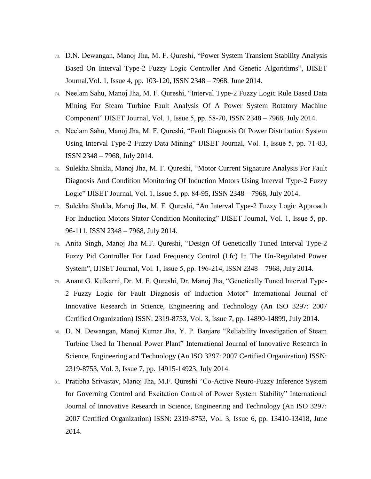- 73. D.N. Dewangan, Manoj Jha, M. F. Qureshi, "Power System Transient Stability Analysis Based On Interval Type-2 Fuzzy Logic Controller And Genetic Algorithms", IJISET Journal,Vol. 1, Issue 4, pp. 103-120, ISSN 2348 – 7968, June 2014.
- 74. Neelam Sahu, Manoj Jha, M. F. Qureshi, "Interval Type-2 Fuzzy Logic Rule Based Data Mining For Steam Turbine Fault Analysis Of A Power System Rotatory Machine Component" IJISET Journal, Vol. 1, Issue 5, pp. 58-70, ISSN 2348 – 7968, July 2014.
- 75. Neelam Sahu, Manoj Jha, M. F. Qureshi, "Fault Diagnosis Of Power Distribution System Using Interval Type-2 Fuzzy Data Mining" IJISET Journal, Vol. 1, Issue 5, pp. 71-83, ISSN 2348 – 7968, July 2014.
- 76. Sulekha Shukla, Manoj Jha, M. F. Qureshi, "Motor Current Signature Analysis For Fault Diagnosis And Condition Monitoring Of Induction Motors Using Interval Type-2 Fuzzy Logic" IJISET Journal, Vol. 1, Issue 5, pp. 84-95, ISSN 2348 – 7968, July 2014.
- 77. Sulekha Shukla, Manoj Jha, M. F. Qureshi, "An Interval Type-2 Fuzzy Logic Approach For Induction Motors Stator Condition Monitoring" IJISET Journal, Vol. 1, Issue 5, pp. 96-111, ISSN 2348 – 7968, July 2014.
- 78. Anita Singh, Manoj Jha M.F. Qureshi, "Design Of Genetically Tuned Interval Type-2 Fuzzy Pid Controller For Load Frequency Control (Lfc) In The Un-Regulated Power System", IJISET Journal, Vol. 1, Issue 5, pp. 196-214, ISSN 2348 – 7968, July 2014.
- 79. Anant G. Kulkarni, Dr. M. F. Qureshi, Dr. Manoj Jha, "Genetically Tuned Interval Type-2 Fuzzy Logic for Fault Diagnosis of Induction Motor" International Journal of Innovative Research in Science, Engineering and Technology (An ISO 3297: 2007 Certified Organization) ISSN: 2319-8753, Vol. 3, Issue 7, pp. 14890-14899, July 2014.
- 80. D. N. Dewangan, Manoj Kumar Jha, Y. P. Banjare "Reliability Investigation of Steam Turbine Used In Thermal Power Plant" International Journal of Innovative Research in Science, Engineering and Technology (An ISO 3297: 2007 Certified Organization) ISSN: 2319-8753, Vol. 3, Issue 7, pp. 14915-14923, July 2014.
- 81. Pratibha Srivastav, Manoj Jha, M.F. Qureshi "Co-Active Neuro-Fuzzy Inference System for Governing Control and Excitation Control of Power System Stability" International Journal of Innovative Research in Science, Engineering and Technology (An ISO 3297: 2007 Certified Organization) ISSN: 2319-8753, Vol. 3, Issue 6, pp. 13410-13418, June 2014.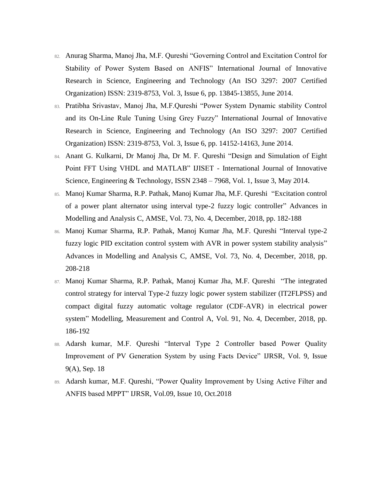- 82. Anurag Sharma, Manoj Jha, M.F. Qureshi "Governing Control and Excitation Control for Stability of Power System Based on ANFIS" International Journal of Innovative Research in Science, Engineering and Technology (An ISO 3297: 2007 Certified Organization) ISSN: 2319-8753, Vol. 3, Issue 6, pp. 13845-13855, June 2014.
- 83. Pratibha Srivastav, Manoj Jha, M.F.Qureshi "Power System Dynamic stability Control and its On-Line Rule Tuning Using Grey Fuzzy" International Journal of Innovative Research in Science, Engineering and Technology (An ISO 3297: 2007 Certified Organization) ISSN: 2319-8753, Vol. 3, Issue 6, pp. 14152-14163, June 2014.
- 84. Anant G. Kulkarni, Dr Manoj Jha, Dr M. F. Qureshi "Design and Simulation of Eight Point FFT Using VHDL and MATLAB" IJISET - International Journal of Innovative Science, Engineering & Technology, ISSN 2348 – 7968, Vol. 1, Issue 3, May 2014.
- 85. Manoj Kumar Sharma, R.P. Pathak, Manoj Kumar Jha, M.F. Qureshi "Excitation control of a power plant alternator using interval type-2 fuzzy logic controller" Advances in Modelling and Analysis C, AMSE, Vol. 73, No. 4, December, 2018, pp. 182-188
- 86. Manoj Kumar Sharma, R.P. Pathak, Manoj Kumar Jha, M.F. Qureshi "Interval type-2 fuzzy logic PID excitation control system with AVR in power system stability analysis" Advances in Modelling and Analysis C, AMSE, Vol. 73, No. 4, December, 2018, pp. 208-218
- 87. Manoj Kumar Sharma, R.P. Pathak, Manoj Kumar Jha, M.F. Qureshi "The integrated control strategy for interval Type-2 fuzzy logic power system stabilizer (IT2FLPSS) and compact digital fuzzy automatic voltage regulator (CDF-AVR) in electrical power system" Modelling, Measurement and Control A, Vol. 91, No. 4, December, 2018, pp. 186-192
- 88. Adarsh kumar, M.F. Qureshi "Interval Type 2 Controller based Power Quality Improvement of PV Generation System by using Facts Device" IJRSR, Vol. 9, Issue 9(A), Sep. 18
- 89. Adarsh kumar, M.F. Qureshi, "Power Quality Improvement by Using Active Filter and ANFIS based MPPT" IJRSR, Vol.09, Issue 10, Oct.2018